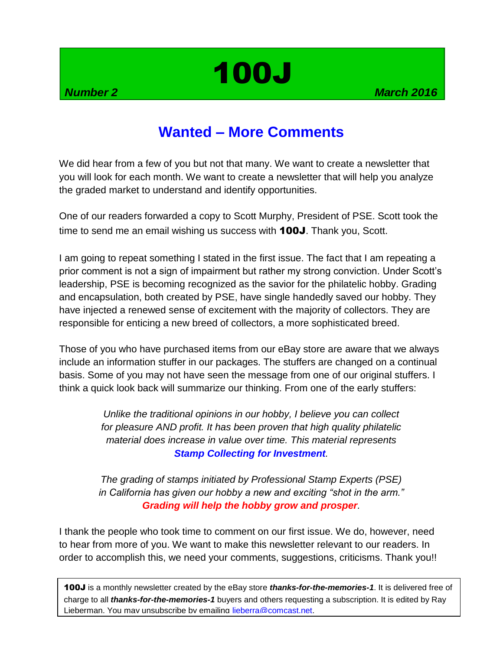# 100J

## **Wanted – More Comments**

We did hear from a few of you but not that many. We want to create a newsletter that you will look for each month. We want to create a newsletter that will help you analyze the graded market to understand and identify opportunities.

One of our readers forwarded a copy to Scott Murphy, President of PSE. Scott took the time to send me an email wishing us success with **100J**. Thank you, Scott.

I am going to repeat something I stated in the first issue. The fact that I am repeating a prior comment is not a sign of impairment but rather my strong conviction. Under Scott's leadership, PSE is becoming recognized as the savior for the philatelic hobby. Grading and encapsulation, both created by PSE, have single handedly saved our hobby. They have injected a renewed sense of excitement with the majority of collectors. They are responsible for enticing a new breed of collectors, a more sophisticated breed.

Those of you who have purchased items from our eBay store are aware that we always include an information stuffer in our packages. The stuffers are changed on a continual basis. Some of you may not have seen the message from one of our original stuffers. I think a quick look back will summarize our thinking. From one of the early stuffers:

> *Unlike the traditional opinions in our hobby, I believe you can collect for pleasure AND profit. It has been proven that high quality philatelic material does increase in value over time. This material represents Stamp Collecting for Investment.*

*The grading of stamps initiated by Professional Stamp Experts (PSE) in California has given our hobby a new and exciting "shot in the arm." Grading will help the hobby grow and prosper.*

I thank the people who took time to comment on our first issue. We do, however, need to hear from more of you. We want to make this newsletter relevant to our readers. In order to accomplish this, we need your comments, suggestions, criticisms. Thank you!!

100J is a monthly newsletter created by the eBay store *thanks-for-the-memories-1*. It is delivered free of charge to all *thanks-for-the-memories-1* buyers and others requesting a subscription. It is edited by Ray Lieberman. You may unsubscribe by emailing [lieberra@comcast.net.](mailto:lieberra@comcast.net)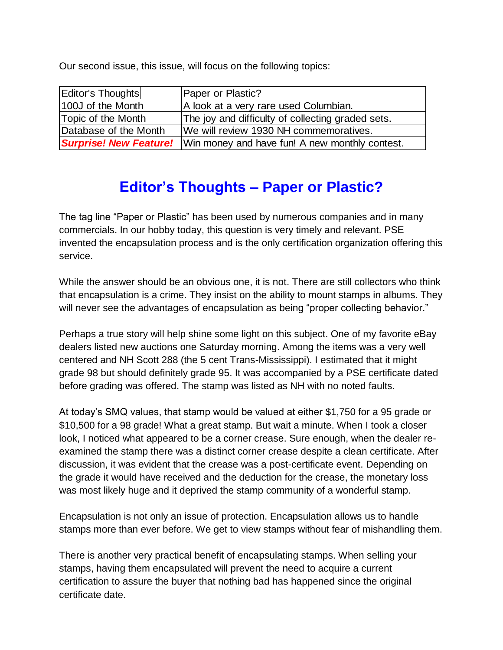Our second issue, this issue, will focus on the following topics:

| Editor's Thoughts     | Paper or Plastic?                                                            |
|-----------------------|------------------------------------------------------------------------------|
| 100J of the Month     | A look at a very rare used Columbian.                                        |
| Topic of the Month    | The joy and difficulty of collecting graded sets.                            |
| Database of the Month | We will review 1930 NH commemoratives.                                       |
|                       | <b>Surprise! New Feature!</b> Win money and have fun! A new monthly contest. |

## **Editor's Thoughts – Paper or Plastic?**

The tag line "Paper or Plastic" has been used by numerous companies and in many commercials. In our hobby today, this question is very timely and relevant. PSE invented the encapsulation process and is the only certification organization offering this service.

While the answer should be an obvious one, it is not. There are still collectors who think that encapsulation is a crime. They insist on the ability to mount stamps in albums. They will never see the advantages of encapsulation as being "proper collecting behavior."

Perhaps a true story will help shine some light on this subject. One of my favorite eBay dealers listed new auctions one Saturday morning. Among the items was a very well centered and NH Scott 288 (the 5 cent Trans-Mississippi). I estimated that it might grade 98 but should definitely grade 95. It was accompanied by a PSE certificate dated before grading was offered. The stamp was listed as NH with no noted faults.

At today's SMQ values, that stamp would be valued at either \$1,750 for a 95 grade or \$10,500 for a 98 grade! What a great stamp. But wait a minute. When I took a closer look, I noticed what appeared to be a corner crease. Sure enough, when the dealer reexamined the stamp there was a distinct corner crease despite a clean certificate. After discussion, it was evident that the crease was a post-certificate event. Depending on the grade it would have received and the deduction for the crease, the monetary loss was most likely huge and it deprived the stamp community of a wonderful stamp.

Encapsulation is not only an issue of protection. Encapsulation allows us to handle stamps more than ever before. We get to view stamps without fear of mishandling them.

There is another very practical benefit of encapsulating stamps. When selling your stamps, having them encapsulated will prevent the need to acquire a current certification to assure the buyer that nothing bad has happened since the original certificate date.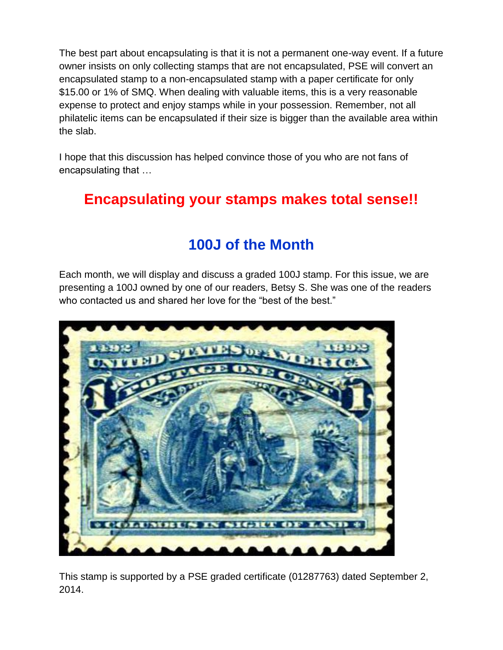The best part about encapsulating is that it is not a permanent one-way event. If a future owner insists on only collecting stamps that are not encapsulated, PSE will convert an encapsulated stamp to a non-encapsulated stamp with a paper certificate for only \$15.00 or 1% of SMQ. When dealing with valuable items, this is a very reasonable expense to protect and enjoy stamps while in your possession. Remember, not all philatelic items can be encapsulated if their size is bigger than the available area within the slab.

I hope that this discussion has helped convince those of you who are not fans of encapsulating that …

## **Encapsulating your stamps makes total sense!!**

## **100J of the Month**

Each month, we will display and discuss a graded 100J stamp. For this issue, we are presenting a 100J owned by one of our readers, Betsy S. She was one of the readers who contacted us and shared her love for the "best of the best."



This stamp is supported by a PSE graded certificate (01287763) dated September 2, 2014.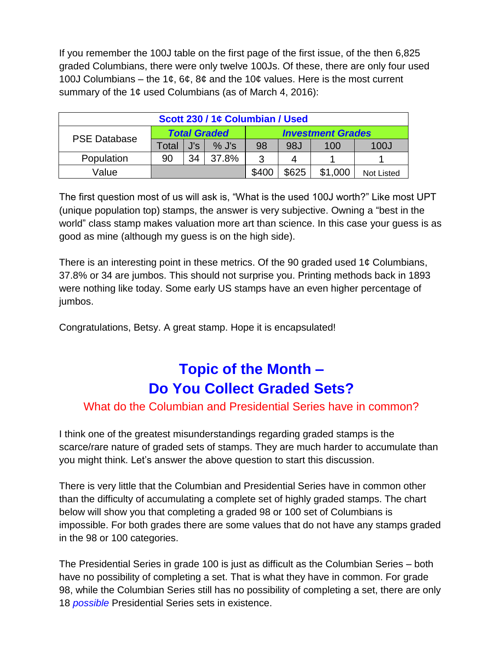If you remember the 100J table on the first page of the first issue, of the then 6,825 graded Columbians, there were only twelve 100Js. Of these, there are only four used 100J Columbians – the 1¢, 6¢, 8¢ and the 10¢ values. Here is the most current summary of the 1¢ used Columbians (as of March 4, 2016):

| Scott 230 / 1¢ Columbian / Used |                     |     |         |                          |       |         |            |  |
|---------------------------------|---------------------|-----|---------|--------------------------|-------|---------|------------|--|
| <b>PSE Database</b>             | <b>Total Graded</b> |     |         | <b>Investment Grades</b> |       |         |            |  |
|                                 | Total               | J's | $%$ J's | 98                       | 98J   | 100     | 100J       |  |
| Population                      | 90                  | 34  | 37.8%   | 3                        | 4     |         |            |  |
| Value                           |                     |     |         | \$400                    | \$625 | \$1,000 | Not Listed |  |

The first question most of us will ask is, "What is the used 100J worth?" Like most UPT (unique population top) stamps, the answer is very subjective. Owning a "best in the world" class stamp makes valuation more art than science. In this case your guess is as good as mine (although my guess is on the high side).

There is an interesting point in these metrics. Of the 90 graded used 1 $\phi$  Columbians, 37.8% or 34 are jumbos. This should not surprise you. Printing methods back in 1893 were nothing like today. Some early US stamps have an even higher percentage of jumbos.

Congratulations, Betsy. A great stamp. Hope it is encapsulated!

## **Topic of the Month – Do You Collect Graded Sets?**

#### What do the Columbian and Presidential Series have in common?

I think one of the greatest misunderstandings regarding graded stamps is the scarce/rare nature of graded sets of stamps. They are much harder to accumulate than you might think. Let's answer the above question to start this discussion.

There is very little that the Columbian and Presidential Series have in common other than the difficulty of accumulating a complete set of highly graded stamps. The chart below will show you that completing a graded 98 or 100 set of Columbians is impossible. For both grades there are some values that do not have any stamps graded in the 98 or 100 categories.

The Presidential Series in grade 100 is just as difficult as the Columbian Series – both have no possibility of completing a set. That is what they have in common. For grade 98, while the Columbian Series still has no possibility of completing a set, there are only 18 *possible* Presidential Series sets in existence.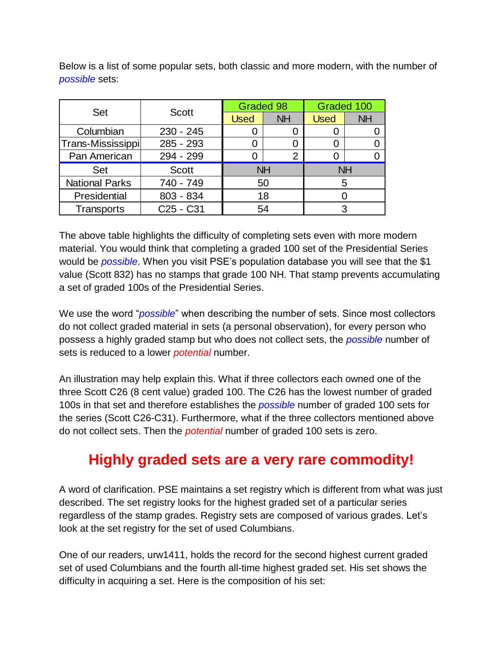| <b>Set</b>            | <b>Scott</b>                      | Graded 98   |           | Graded 100  |           |  |  |
|-----------------------|-----------------------------------|-------------|-----------|-------------|-----------|--|--|
|                       |                                   | <b>Used</b> | <b>NH</b> | <b>Used</b> | <b>NH</b> |  |  |
| Columbian             | $230 - 245$                       |             |           |             |           |  |  |
| Trans-Mississippi     | 285 - 293                         |             |           |             |           |  |  |
| Pan American          | 294 - 299                         |             | 2         |             |           |  |  |
| Set                   | <b>Scott</b>                      | <b>NH</b>   |           | <b>NH</b>   |           |  |  |
| <b>National Parks</b> | 740 - 749                         | 50          |           | 5           |           |  |  |
| Presidential          | 803 - 834                         | 18          |           |             |           |  |  |
| Transports            | C <sub>25</sub> - C <sub>31</sub> |             | 54        |             |           |  |  |

Below is a list of some popular sets, both classic and more modern, with the number of *possible* sets:

The above table highlights the difficulty of completing sets even with more modern material. You would think that completing a graded 100 set of the Presidential Series would be *possible*. When you visit PSE's population database you will see that the \$1 value (Scott 832) has no stamps that grade 100 NH. That stamp prevents accumulating a set of graded 100s of the Presidential Series.

We use the word "*possible*" when describing the number of sets. Since most collectors do not collect graded material in sets (a personal observation), for every person who possess a highly graded stamp but who does not collect sets, the *possible* number of sets is reduced to a lower *potential* number.

An illustration may help explain this. What if three collectors each owned one of the three Scott C26 (8 cent value) graded 100. The C26 has the lowest number of graded 100s in that set and therefore establishes the *possible* number of graded 100 sets for the series (Scott C26-C31). Furthermore, what if the three collectors mentioned above do not collect sets. Then the *potential* number of graded 100 sets is zero.

## **Highly graded sets are a very rare commodity!**

A word of clarification. PSE maintains a set registry which is different from what was just described. The set registry looks for the highest graded set of a particular series regardless of the stamp grades. Registry sets are composed of various grades. Let's look at the set registry for the set of used Columbians.

One of our readers, urw1411, holds the record for the second highest current graded set of used Columbians and the fourth all-time highest graded set. His set shows the difficulty in acquiring a set. Here is the composition of his set: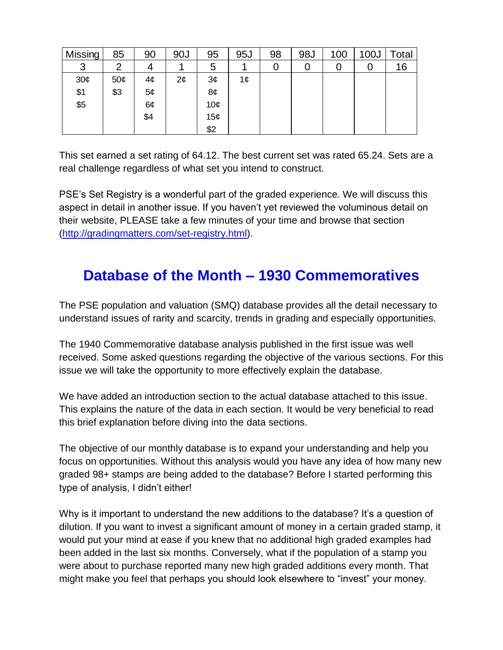| Missing | 85  | 90  | 90J             | 95  | 95J | 98 | 98J | 100 | 100J | Total |
|---------|-----|-----|-----------------|-----|-----|----|-----|-----|------|-------|
| 3       | 2   |     |                 | 5   |     | U  |     | U   | U    | 16    |
| 30¢     | 50¢ | 4¢  | $2\mathfrak{c}$ | 3¢  | 1¢  |    |     |     |      |       |
| \$1     | \$3 | 5¢  |                 | 8¢  |     |    |     |     |      |       |
| \$5     |     | 6¢  |                 | 10¢ |     |    |     |     |      |       |
|         |     | \$4 |                 | 15¢ |     |    |     |     |      |       |
|         |     |     |                 | \$2 |     |    |     |     |      |       |

This set earned a set rating of 64.12. The best current set was rated 65.24. Sets are a real challenge regardless of what set you intend to construct.

PSE's Set Registry is a wonderful part of the graded experience. We will discuss this aspect in detail in another issue. If you haven't yet reviewed the voluminous detail on their website, PLEASE take a few minutes of your time and browse that section [\(http://gradingmatters.com/set-registry.html\)](http://gradingmatters.com/set-registry.html).

## **Database of the Month – 1930 Commemoratives**

The PSE population and valuation (SMQ) database provides all the detail necessary to understand issues of rarity and scarcity, trends in grading and especially opportunities.

The 1940 Commemorative database analysis published in the first issue was well received. Some asked questions regarding the objective of the various sections. For this issue we will take the opportunity to more effectively explain the database.

We have added an introduction section to the actual database attached to this issue. This explains the nature of the data in each section. It would be very beneficial to read this brief explanation before diving into the data sections.

The objective of our monthly database is to expand your understanding and help you focus on opportunities. Without this analysis would you have any idea of how many new graded 98+ stamps are being added to the database? Before I started performing this type of analysis, I didn't either!

Why is it important to understand the new additions to the database? It's a question of dilution. If you want to invest a significant amount of money in a certain graded stamp, it would put your mind at ease if you knew that no additional high graded examples had been added in the last six months. Conversely, what if the population of a stamp you were about to purchase reported many new high graded additions every month. That might make you feel that perhaps you should look elsewhere to "invest" your money.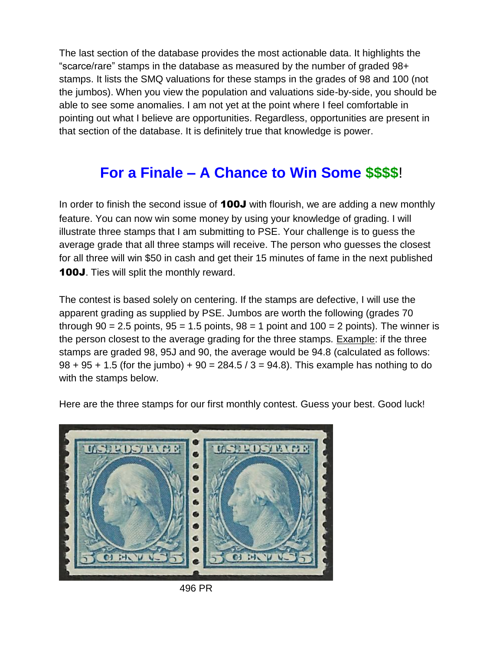The last section of the database provides the most actionable data. It highlights the "scarce/rare" stamps in the database as measured by the number of graded 98+ stamps. It lists the SMQ valuations for these stamps in the grades of 98 and 100 (not the jumbos). When you view the population and valuations side-by-side, you should be able to see some anomalies. I am not yet at the point where I feel comfortable in pointing out what I believe are opportunities. Regardless, opportunities are present in that section of the database. It is definitely true that knowledge is power.

## **For a Finale – A Chance to Win Some \$\$\$\$**!

In order to finish the second issue of **100J** with flourish, we are adding a new monthly feature. You can now win some money by using your knowledge of grading. I will illustrate three stamps that I am submitting to PSE. Your challenge is to guess the average grade that all three stamps will receive. The person who guesses the closest for all three will win \$50 in cash and get their 15 minutes of fame in the next published 100J. Ties will split the monthly reward.

The contest is based solely on centering. If the stamps are defective, I will use the apparent grading as supplied by PSE. Jumbos are worth the following (grades 70 through  $90 = 2.5$  points,  $95 = 1.5$  points,  $98 = 1$  point and  $100 = 2$  points). The winner is the person closest to the average grading for the three stamps. Example: if the three stamps are graded 98, 95J and 90, the average would be 94.8 (calculated as follows:  $98 + 95 + 1.5$  (for the jumbo) +  $90 = 284.5 / 3 = 94.8$ ). This example has nothing to do with the stamps below.

Here are the three stamps for our first monthly contest. Guess your best. Good luck!



496 PR